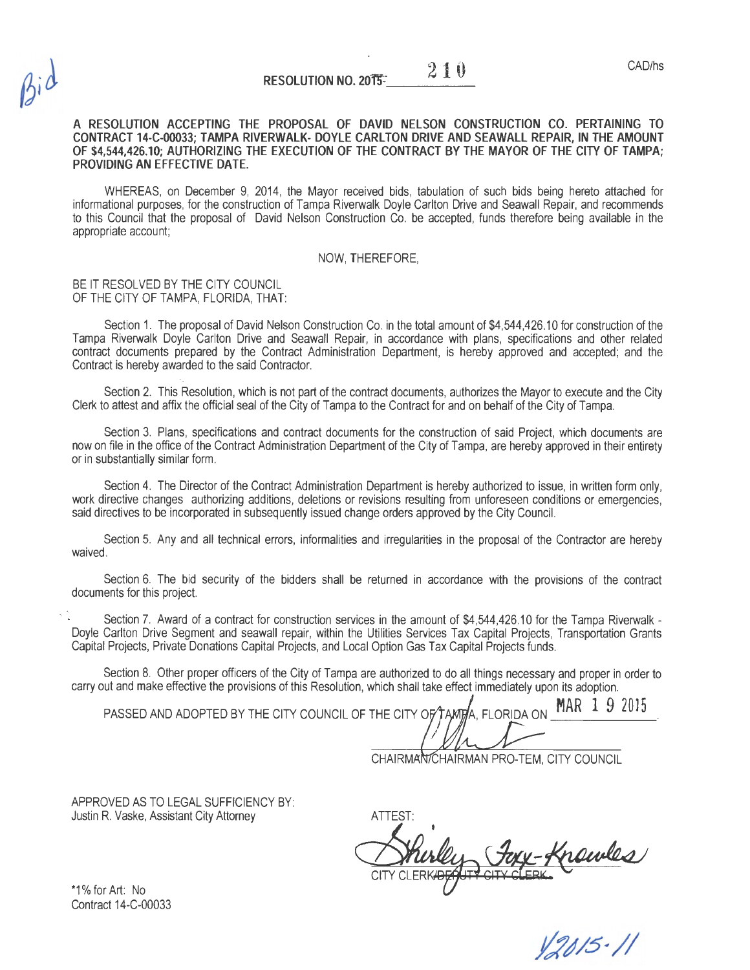### **A RESOLUTION ACCEPTING THE PROPOSAL OF DAVID NELSON CONSTRUCTION CO. PERTAINING TO CONTRACT 14-C-00033; TAMPA RIVERWALK- DOYLE CARLTON DRIVE AND SEAWALL REPAIR, IN THE AMOUNT OF \$4,544,426.10; AUTHORIZING THE EXECUTION OF THE CONTRACT BY THE MAYOR OF THE CITY OF TAMPA; PROVIDING AN EFFECTIVE DATE.**

WHEREAS, on December 9, 2014, the Mayor received bids, tabulation of such bids being hereto attached for informational purposes, for the construction of Tampa Riverwalk Doyle Carlton Drive and Seawall Repair, and recommends to this Council that the proposal of David Nelson Construction Co. be accepted, funds therefore being available in the appropriate account;

#### NOW, THEREFORE,

#### BE IT RESOLVED BY THE CITY COUNCIL OF THE CITY OF TAMPA, FLORIDA, THAT:

Section 1. The proposal of David Nelson Construction Co. in the total amount of \$4,544,426.10 for construction of the Tampa Riverwalk Doyle Carlton Drive and Seawall Repair, in accordance with plans, specifications and other related contract documents prepared by the Contract Administration Department, is hereby approved and accepted; and the Contract is hereby awarded to the said Contractor.

Section 2. This Resolution, which is not part of the contract documents, authorizes the Mayor to execute and the City Clerk to attest and affix the official seal of the City of Tampa to the Contract for and on behalf of the City of Tampa.

Section 3. Plans, specifications and contract documents for the construction of said Project, which documents are now on file in the office of the Contract Administration Department of the City of Tampa, are hereby approved in their entirety or in substantially similar form.

Section 4. The Director of the Contract Administration Department is hereby authorized to issue, in written form only, work directive changes authorizing additions, deletions or revisions resulting from unforeseen conditions or emergencies, said directives to be incorporated in subsequently issued change orders approved by the City Council.

Section 5. Any and all technical errors, informalities and irregularities in the proposal of the Contractor are hereby waived.

Section 6. The bid security of the bidders shall be returned in accordance with the provisions of the contract documents for this project.

Section 7. Award of a contract for construction services in the amount of \$4,544,426.10 for the Tampa Riverwalk -Doyle Carlton Drive Segment and seawall repair, within the Utilities Services Tax Capital Projects, Transportation Grants Capital Projects, Private Donations Capital Projects, and Local Option Gas Tax Capital Projects funds.

Section 8. Other proper officers of the City of Tampa are authorized to do all things necessary and proper in order to carry out and make effective the provisions of this Resolution, which shall take effect immediately upon its adoption.

PASSED AND ADOPTED BY THE CITY COUNCIL OF THE CITY OF TAMPA. FLORIDA ON MAR 1 9 2015

CHAIRMAN CHAIRMAN PRO-TEM, CITY COUNCIL

APPROVED AS TO LEGAL SUFFICIENCY BY: Justin R. Vaske, Assistant City Attorney

ATTEST: ATTEST:<br>Whirley Joy Knowles

12015-11

\*1% for Art: No Contract 14-C-00033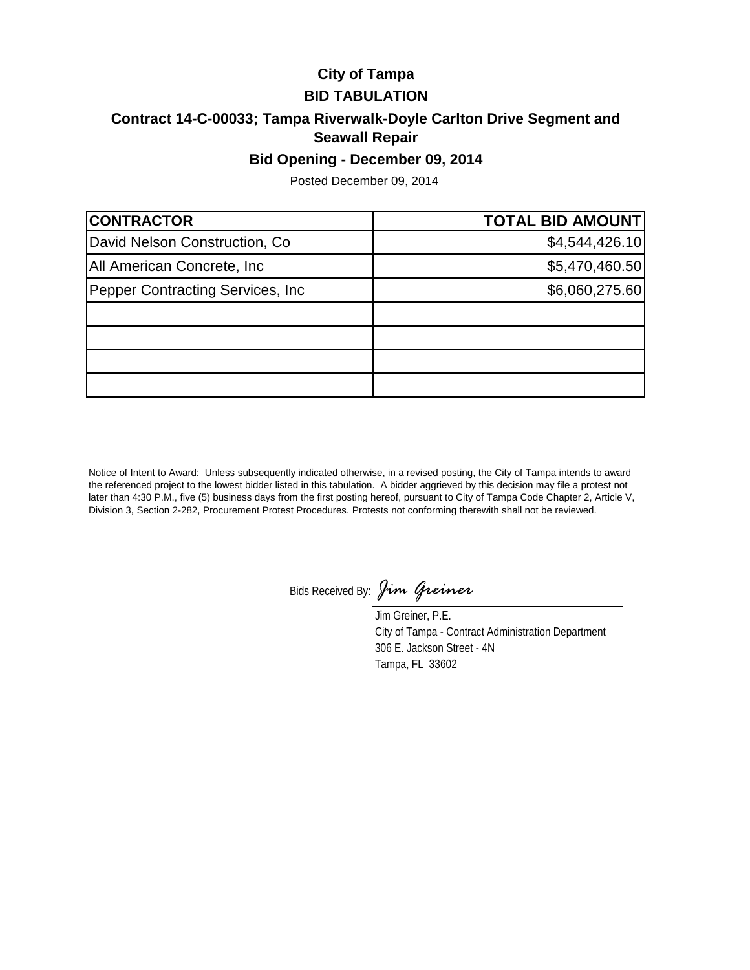# **City of Tampa BID TABULATION**

# **Contract 14-C-00033; Tampa Riverwalk-Doyle Carlton Drive Segment and Seawall Repair**

## **Bid Opening - December 09, 2014**

Posted December 09, 2014

| <b>CONTRACTOR</b>                 | <b>TOTAL BID AMOUNT</b> |
|-----------------------------------|-------------------------|
| David Nelson Construction, Co.    | \$4,544,426.10          |
| All American Concrete, Inc.       | \$5,470,460.50          |
| Pepper Contracting Services, Inc. | \$6,060,275.60          |
|                                   |                         |
|                                   |                         |
|                                   |                         |
|                                   |                         |

Notice of Intent to Award: Unless subsequently indicated otherwise, in a revised posting, the City of Tampa intends to award the referenced project to the lowest bidder listed in this tabulation. A bidder aggrieved by this decision may file a protest not later than 4:30 P.M., five (5) business days from the first posting hereof, pursuant to City of Tampa Code Chapter 2, Article V, Division 3, Section 2-282, Procurement Protest Procedures. Protests not conforming therewith shall not be reviewed.

Bids Received By: *Jim Greiner*

Jim Greiner, P.E. City of Tampa - Contract Administration Department 306 E. Jackson Street - 4N Tampa, FL 33602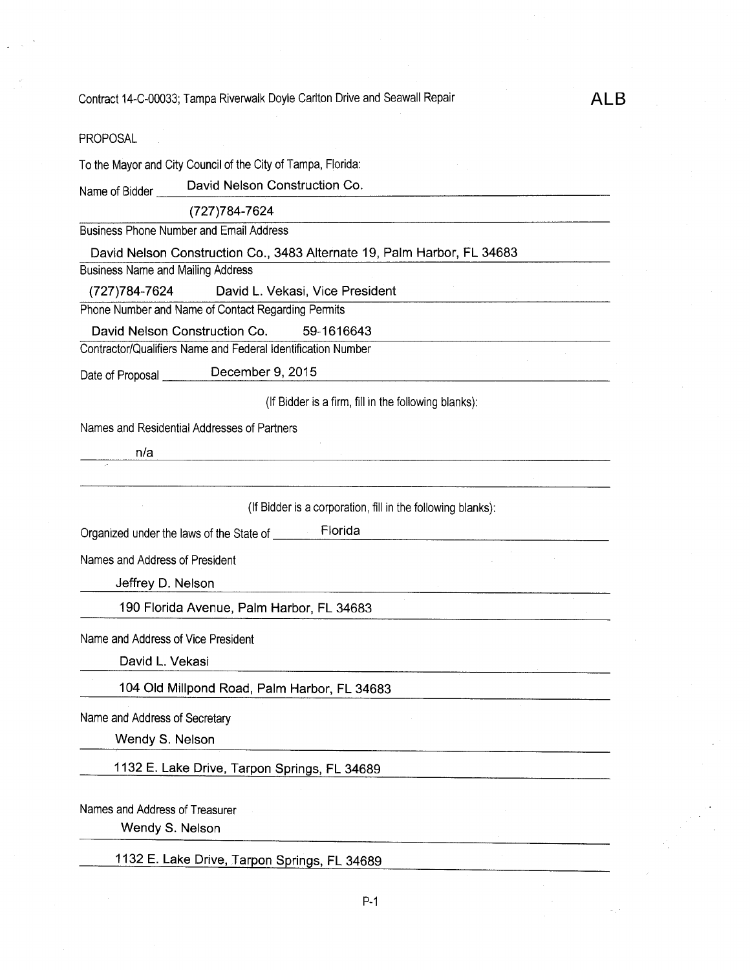ALB

| PROPOSAL                                                                                             |
|------------------------------------------------------------------------------------------------------|
| To the Mayor and City Council of the City of Tampa, Florida:                                         |
| David Nelson Construction Co.<br>Name of Bidder                                                      |
| (727) 784-7624                                                                                       |
| <b>Business Phone Number and Email Address</b>                                                       |
| David Nelson Construction Co., 3483 Alternate 19, Palm Harbor, FL 34683                              |
| <b>Business Name and Mailing Address</b>                                                             |
| (727) 784-7624 David L. Vekasi, Vice President<br>Phone Number and Name of Contact Regarding Permits |
| David Nelson Construction Co.<br>59-1616643                                                          |
| Contractor/Qualifiers Name and Federal Identification Number                                         |
| December 9, 2015<br>Date of Proposal                                                                 |
| (If Bidder is a firm, fill in the following blanks):                                                 |
| Names and Residential Addresses of Partners                                                          |
| n/a<br><u> 1989 - Johann John Stein, fransk politik (f. 1989)</u>                                    |
|                                                                                                      |
| (If Bidder is a corporation, fill in the following blanks):                                          |
| Organized under the laws of the State of ________Florida                                             |
| Names and Address of President                                                                       |
| Jeffrey D. Nelson                                                                                    |
| 190 Florida Avenue, Palm Harbor, FL 34683                                                            |
| Name and Address of Vice President                                                                   |
| David L. Vekasi                                                                                      |
| 104 Old Millpond Road, Palm Harbor, FL 34683                                                         |
| Name and Address of Secretary                                                                        |
| Wendy S. Nelson                                                                                      |
| 1132 E. Lake Drive, Tarpon Springs, FL 34689                                                         |
|                                                                                                      |
| Names and Address of Treasurer<br>Wendy S. Nelson                                                    |
|                                                                                                      |
| 1132 E. Lake Drive, Tarpon Springs, FL 34689                                                         |
|                                                                                                      |

P-1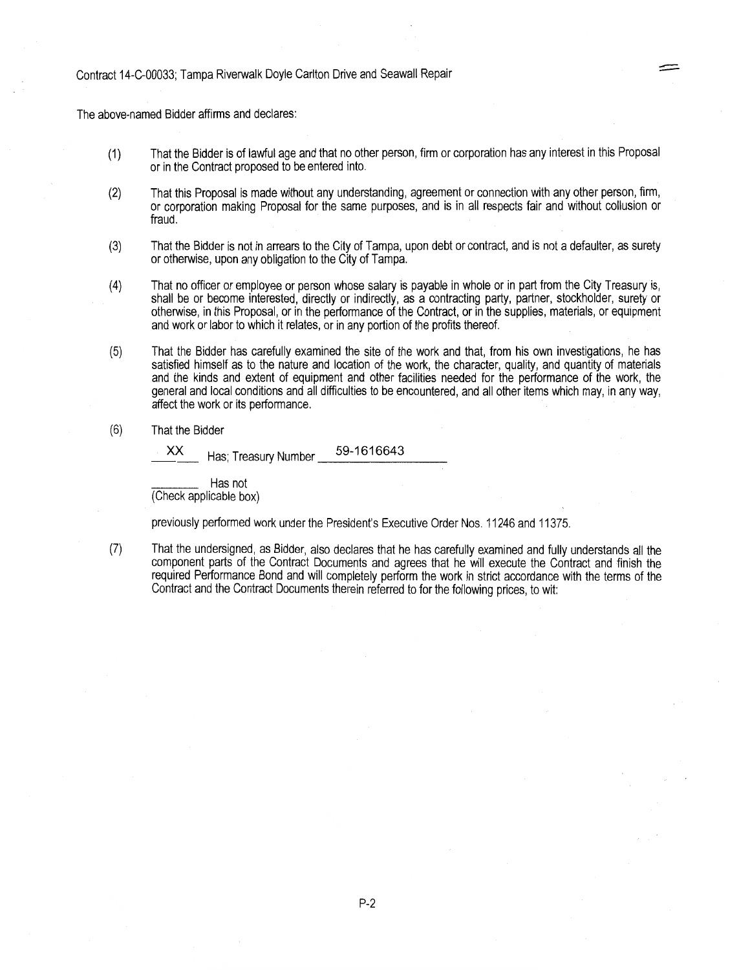The above-named Bidder affirms and declares:

(1) That the Bidder is of lawful age and that no other person, firm or corporation has any interest in this Proposal or in the Contract proposed to be entered into.

-

- (2) That this Proposal is made without any understanding, agreement or connection with any other person, firm, or corporation making Proposal for the same purposes, and is in all respects fair and without collusion or fraud.
- (3) That the Bidder is not in arrears to the City of Tampa, upon debt or contract, and is not a defaulter, as surety or otherwise, upon any obligation to the City of Tampa.
- (4) That no officer or employee or person whose salary is payable in whole or in part from the City Treasury is, shall be or become interested, directly or indirectly, as a contracting party, partner, stockholder, surety or otherwise, in this Proposal, or in the performance of the Contract, or in the supplies, materials, or equipment and work or labor to which it relates, or in any portion of the profits thereof.
- (5) That the Bidder has carefully examined the site of the work and that, from his own investigations, he has satisfied himself as to the nature and location of the work, the character, quality, and quantity of materials and the kinds and extent of equipment and other facilities needed for the performance of the work, the general and local conditions and all difficulties to be encountered, and all other items which may, in any way, affect the work or its performance.
- (6) That the Bidder

XX Has; Treasury Number 9 -\_ 1\_ 6\_ 16\_6\_4\_3  $\overline{\phantom{a}}$ 

Has not (Check applicable box)

previously performed work under the President's Executive Order Nos. 11246 and 11375.

(7) That the undersigned, as Bidder, also declares that he has carefully examined and fully understands all the component parts of the Contract Documents and agrees that he will execute the Contract and finish the required Performance Bond and will completely perform the work in strict accordance with the terms of the Contract and the Contract Documents therein referred to for the following prices, to wit: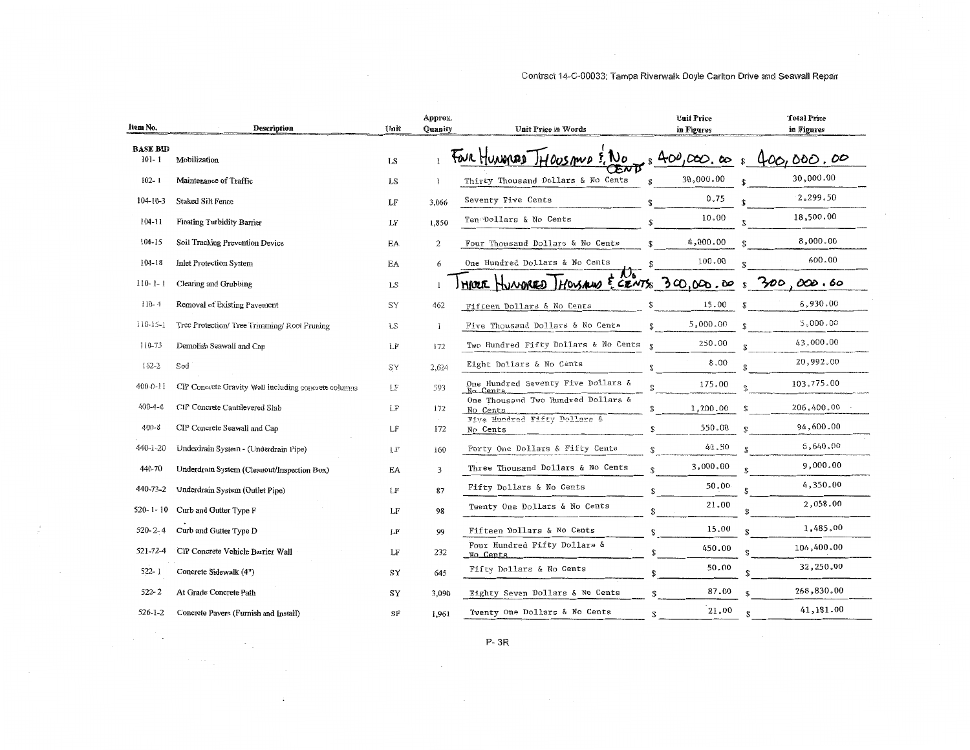| Contract 14-C-00033; Tampa Riverwalk Doyle Carlton Drive and Seawall Repair |  |  |  |  |
|-----------------------------------------------------------------------------|--|--|--|--|
|-----------------------------------------------------------------------------|--|--|--|--|

| Item No.                     | <b>Description</b>                                   | Unit      | Approx.<br>Ouanity | Unit Price in Words                            | <b>Unit Price</b><br>in Figures | <b>Total Price</b><br>in Figures |
|------------------------------|------------------------------------------------------|-----------|--------------------|------------------------------------------------|---------------------------------|----------------------------------|
| <b>BASE BID</b><br>$101 - 1$ | Mobilization                                         | LS        |                    | FOUR HUNOPERD THOOSAND E. NO                   | 400,000,00                      | 400,000,00                       |
| $102 - 1$                    | Maintenance of Traffic                               | LS        | 1                  | Thirty Thousand Dollars & No Cents             | 30,000.00                       | 30,000.00                        |
| $104 - 10 - 3$               | Staked Silt Fence                                    | LF        | 3,066              | Seventy Five Cents                             | 0.75                            | 2,299.50                         |
| 104-11                       | <b>Floating Turbidity Barrier</b>                    | LF        | 1,850              | Ten Dollars & No Cents                         | 10.00                           | 18,500.00                        |
| 104-15                       | Soil Tracking Prevention Device                      | EA        | $\mathbf{2}$       | Four Thousand Dollars & No Cents               | 4,000.00                        | 8,000.00                         |
| $104 - 18$                   | Inlet Protection System                              | EA        | 6                  | One Hundred Dollars & No Cents                 | 100.00                          | 600.00                           |
| $110-1-1$                    | Clearing and Grubbing                                | LS.       |                    | HREE HUNDRED HOUSEWO E CENTS 300,000.00        |                                 | 300<br>000.60<br>¢               |
| $110 - 4$                    | Removal of Existing Pavement                         | SY        | 462                | Fifteen Dollars & No Cents                     | 15.00                           | 6,930.00                         |
| $110-15-1$                   | Tree Protection/ Tree Trimming/ Root Pruning         | <b>LS</b> |                    | Five Thousand Dollars & No Cents               | 5,000.00                        | 5,000.00                         |
| $110 - 73$                   | Demolish Seawall and Cap                             | LF        | 172                | Two Hundred Fifty Dollars & No Cents           | 250.00<br>$\mathbf{P}$          | 43,000.00                        |
| $162 - 2$                    | Sod                                                  | SY        | 2,624              | Eight Dollars & No Cents                       | 8.00                            | 20,992.00                        |
| $400 - 0 - 11$               | CIP Concrete Gravity Wall including concrete columns | LΕ        | 593                | One Hundred Seventy Five Dollars &<br>No Cents | 175.00                          | 103,775.00                       |
| $400 - 4 - 4$                | CIP Concrete Cantilevered Slab                       | LF        | 172                | One Thousand Two Hundred Dollars &<br>No Cents | 1,200.00                        | 206,400.00<br>$\mathbf{\hat{S}}$ |
| $400 - 8$                    | CIP Concrete Seawall and Cap                         | LF        | 172                | Five Hundred Fifty Dollars &<br>No Cents       | 550.00                          | 94,600.00<br>ዌ                   |
| 440-1-20                     | Underdrain System - (Underdrain Pipe)                | LF        | 160                | Forty One Dollars & Fifty Cents                | 41.50                           | 6,640.00                         |
| 440-70                       | Underdrain System (Cleanout/Inspection Box)          | EA        | 3                  | Three Thousand Dollars & No Cents              | 3,000.00                        | 9,000.00                         |
| 440-73-2                     | Underdrain System (Outlet Pipe)                      | LF        | 87                 | Fifty Dollars & No Cents                       | 50.00<br>£.                     | 4,350,00                         |
| $520 - 1 - 10$               | Curb and Gutter Type F                               | LF        | 98                 | Twenty One Dollars & No Cents                  | 21.00                           | 2,058.00                         |
| $520 - 2 - 4$                | Curb and Gutter Type D                               | LF        | 99                 | Fifteen Dollars & No Cents                     | 15.00<br>ቂ                      | 1,485.00                         |
| 521-72-4                     | CIP Concrete Vehicle Barrier Wall                    | LF        | 232                | Four Hundred Fifty Dollars &<br>No Cents       | 450.00<br>\$                    | 104,400.00                       |
| $522 - 1$                    | Concrete Sidewalk (4")                               | SY        | 645                | Fifty Dollars & No Cents                       | 50.00                           | 32,250.00                        |
| $522 - 2$                    | At Grade Concrete Path                               | SY        | 3,090              | Eighty Seven Dollars & No Cents                | 87.00                           | 268,830.00                       |
| $526 - 1 - 2$                | Concrete Pavers (Furnish and Install)                | SF        | 1,961              | Twenty One Dollars & No Cents                  | 21.00<br>\$.                    | 41,181.00                        |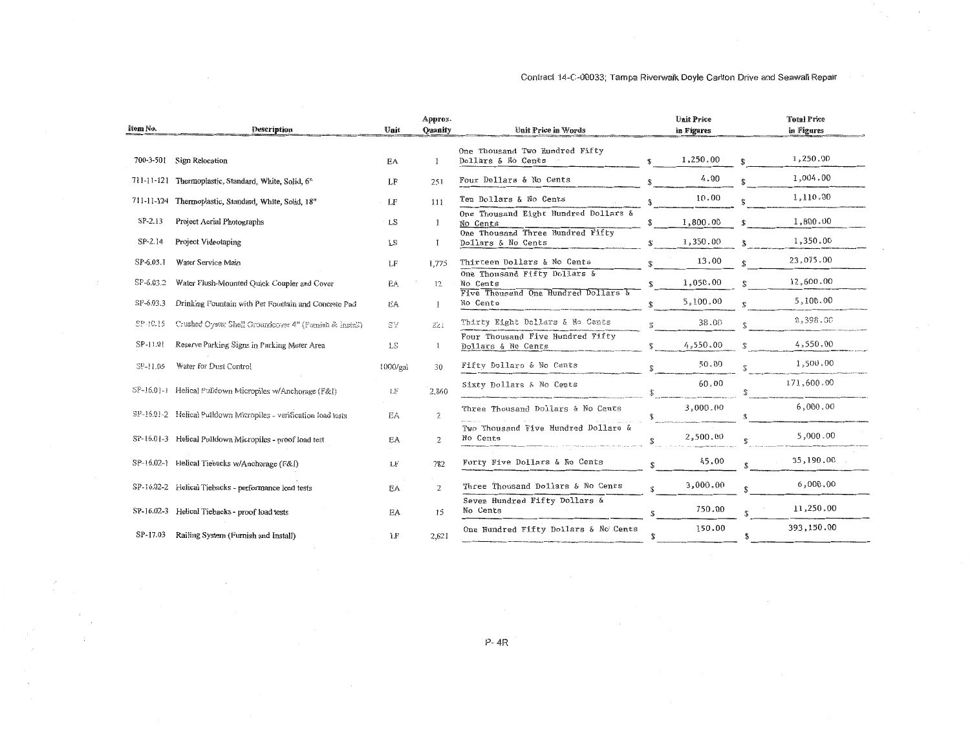| Item No.  | Description                                                      | Unit      | Approx.<br><b>Ouanity</b> | Unit Price in Words                                                             |              | <b>Unit Price</b><br>in Figures | <b>Total Price</b><br>in Figures |
|-----------|------------------------------------------------------------------|-----------|---------------------------|---------------------------------------------------------------------------------|--------------|---------------------------------|----------------------------------|
|           | 700-3-501 Sign Relocation                                        | EA        |                           | One Thousand Two Hundred Fifty<br>Dollars & No Cents                            |              | 1,250.00                        | 1,250.00                         |
|           | 711-11-121 Thermoplastic, Standard, White, Solid, 6"             | LF        | 251                       | Four Dollars & No Cents                                                         |              | 4.00                            | 1,004.00                         |
|           | 711-11-124 Thermoplastic, Standard, White, Solid, 18"            | LF        | 111                       | Ten Dollars & No Cents                                                          | £.           | 10.00                           | 1,110.00                         |
| SP-2.13   | Project Aerial Photographs                                       | LS        | 1                         | One Thousand Eight Hundred Dollars &<br>No Cents                                |              | 1,800.00                        | 1,800.00                         |
| $SP-2.14$ | Project Videotaping                                              | <b>LS</b> |                           | One Thousand Three Hundred Fifty<br>Dollars & No Cents                          | \$           | 1,350.00                        | 1,350.00                         |
| SP-6.03.1 | Water Service Main                                               | LF        | 1.775                     | Thirteen Dollars & No Cents                                                     |              | 13,00                           | 23,075.00                        |
| SP-6.03.2 | Water Flush-Mounted Quick Coupler and Cover                      | EÁ        | 12                        | One Thousand Fifty Dollars &<br>No Cents<br>Five Thousand One Hundred Dollars & | \$.          | 1,050.00                        | 12,600.00                        |
| SP-6.03.3 | Drinking Fountain with Pet Fountain and Concrete Pad             | ΕA        | -1                        | No Cents                                                                        |              | 5,100.00                        | 5,100.00                         |
| SP-10.15  | Crushed Oyster Shell Groundcover 4" (Furnish & Install)          | SY        | 221                       | Thirty Eight Dollars & No Cents                                                 |              | 38.00                           | 8,398.00                         |
| SP-11.01  | Reserve Parking Signs in Parking Meter Area                      | LS.       |                           | Four Thousand Five Hundred Fifty<br>Dollars & No Cents                          |              | 4,550.00                        | 4,550.00                         |
| SP-11.05  | Water for Dust Control                                           | 1000/gal  | 30                        | Fifty Dollars & No Cents                                                        |              | 50.00                           | 1,500,00                         |
|           | SP-16.01-1 Helical Pulldown Micropiles w/Anchorage (F&I)         | LF        | 2.860                     | Sixty Dollars & No Cents                                                        |              | 60.00                           | 171,600.00                       |
|           | SP-16.01-2 Helical Pulldown Micropiles - verification load tests | ΕA        | $\hat{z}$                 | Three Thousand Dollars & No Cents                                               |              | 3,000,00                        | 6,000.00                         |
|           | SP-16.01-3 Helical Pulldown Micropiles - proof load test         | EA        | 2                         | Two Thousand Five Hundred Dollars &<br>No Cents                                 | S.           | 2,500.00                        | 5,000.00                         |
|           | SP-16.02-1 Helical Tiebacks w/Anchorage (F&I)                    | LF        | 782                       | Forty Five Dollars & No Cents                                                   | $\mathbf{S}$ | 45.00                           | 35,190.00                        |
|           | SP-16.02-2 Helical Tiebacks - performance load tests             | EA        | $\overline{2}$            | Three Thousand Dollars & No Cents                                               |              | 3,000.00                        | 6,000.00                         |
|           | SP-16.02-3 Helical Tiebacks - proof load tests                   | EA        | 15                        | Seven Hundred Fifty Dollars &<br>No Cents                                       |              | 750.00                          | 11,250.00                        |
| SP-17.03  | Railing System (Furnish and Install)                             | LF        | 2,621                     | One Hundred Fifty Dollars & No Cents                                            |              | 150.00                          | \$<br>393,150.00                 |

 $\sim$ 

 $\mathcal{L}$ 

### Contract 14-C-00033; Tampa Riverwalk Doyle Carlton Drive and Seawall Repair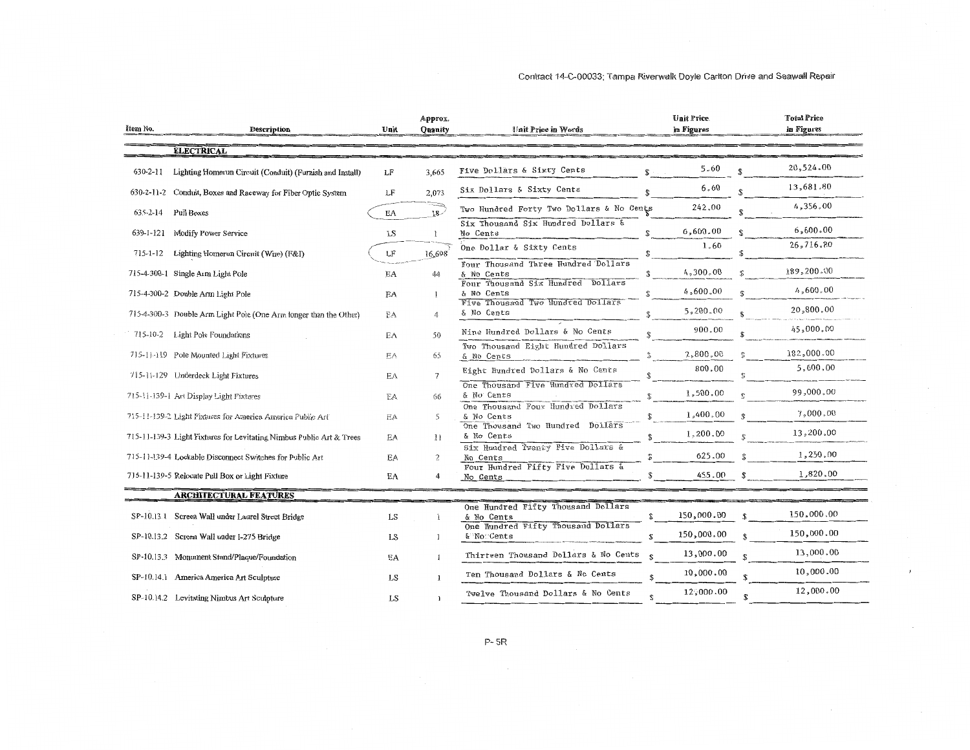| Item No.<br>Description                                              | Unit      | Approx.<br>Quanity | Unit Price in Words                                               | <b>Unit Price.</b><br>in Figures | <b>Total Price</b><br>in Figures |
|----------------------------------------------------------------------|-----------|--------------------|-------------------------------------------------------------------|----------------------------------|----------------------------------|
| <b>ELECTRICAL</b>                                                    |           |                    |                                                                   |                                  |                                  |
| 630-2-11<br>Lighting Homerun Circuit (Conduit) (Furnish and Install) | LF        | 3,665              | Five Dollars & Sixty Cents<br>\$                                  | 5.60                             | 20,524.00                        |
| 630-2-11-2<br>Conduit, Boxes and Raceway for Fiber Optic System      | LF        | 2,073              | Six Dollars & Sixty Cents<br><b>S</b>                             | 6.60                             | 13,681.80                        |
| 635-2-14<br>Pull Boxes                                               | EA        | $18-$              | Two Hundred Forty Two Dollars & No Cents                          | 242.00                           | 4,356.00<br>\$.                  |
| 639-1-121<br>Modify Power Service                                    | LS        | $\mathbf{r}$       | Six Thousand Six Hundred Dollars &<br>$\mathbb{R}$<br>No Cents    | 6,600.00                         | 6,600.00<br>$\mathbf{S}$         |
| 715-1-12<br>Lighting Homerun Circuit (Wire) (F&I)                    | LF        | 16,698             | One Dollar & Sixty Cents<br><b>T</b>                              | 1.60                             | 26,716.80<br>\$.                 |
| 715-4-300-1 Single Arm Light Pole                                    | EA        | 44                 | Four Thousand Three Hundred Dollars<br>& No Cents                 | 4,300.00                         | 189,200.00<br>$\mathcal{D}$      |
| 715-4-300-2 Double Arm Light Pole                                    | EA        |                    | Four Thousand Six Hundred Dollars<br>& No Cents                   | 4,600.00                         | 4,600.00<br>¢                    |
| 715-4-300-3 Double Arm Light Pole (One Arm longer than the Other)    | EA        | 4                  | Five Thousand Two Hundred Dollars<br>& No Cents                   | 5,200.00                         | 20,800.00<br>$\mathbf{C}$        |
| 715-10-2<br>Light Pole Foundations                                   | EA        | 50                 | Nine Hundred Dollars & No Cents<br>¢                              | 900.00                           | 45,000.00                        |
| 715-11-119 Pole Mounted Light Fixtures                               | EA        | 65                 | Two Thousand Eight Hundred Dollars<br>$\frac{6}{5}$<br>& No Cents | 2,800.00                         | 182,000.00                       |
| 715-11-129 Underdeck Light Fixtures                                  | EA.       |                    | Eight Hundred Dollars & No Cents<br>\$                            | 800.00                           | 5,600.00                         |
| 715-11-139-1 Art Display Light Fixtures                              | EA        | 66                 | One Thousand Five Hundred Dollars<br>& No Cents                   | 1,500.00                         | 99,000.00                        |
| 715-11-139-2 Light Fixtures for America America Public Art           | EA        | 5                  | One Thousand Four Hundred Dollars<br>& No Cents<br>\$             | 1,400,00                         | 7,000.00                         |
| 715-11-139-3 Light Fixtures for Levitating Nimbus Public Art & Trees | EA        | 11                 | One Thousand Two Hundred Dollars<br>& No Cents<br>雲               | 1,200.00                         | 13,200.00                        |
| 715-11-139-4 Lockable Disconnect Switches for Public Art             | EA        | 2                  | Six Hundred Twenty Five Dollars &<br>No Cents                     | 625.00                           | 1,250.00                         |
| 715-11-139-5 Relocate Pull Box or Light Fixture                      | EA        | 4                  | Four Hundred Fifty Five Dollars &<br>No Cents                     | 455.00                           | 1,820,00                         |
| <b>ARCHITECTURAL FEATURES</b>                                        |           |                    |                                                                   |                                  |                                  |
| SP-10.13.1 Screen Wall under Laurel Street Bridge                    | LS        |                    | One Hundred Fifty Thousand Dollars<br>& No Cents                  | 150,000.00<br>\$                 | 150,000.00                       |
| SP-10.13.2 Screen Wall under I-275 Bridge                            | LS        | -1                 | One Hundred Fifty Thousand Dollars<br>& No Cents                  | 150,000.00<br>S.                 | 150,000.00<br>$\mathbf{\hat{x}}$ |
| SP-10.13.3 Monument Stand/Plaque/Foundation                          | EA        |                    | Thirteen Thousand Dollars & No Cents<br>$\mathbb{S}$              | 13,000.00                        | 13,000.00                        |
| SP-10.14.1 America America Art Sculpture                             | <b>LS</b> |                    | Ten Thousand Dollars & No Cents                                   | 10,000.00                        | 10,000.00                        |
| SP-10.14.2 Levitating Nimbus Art Sculpture                           | LS        |                    | Twelve Thousand Dollars & No Cents                                | 12,000.00                        | 12,000.00<br>S                   |

P-5R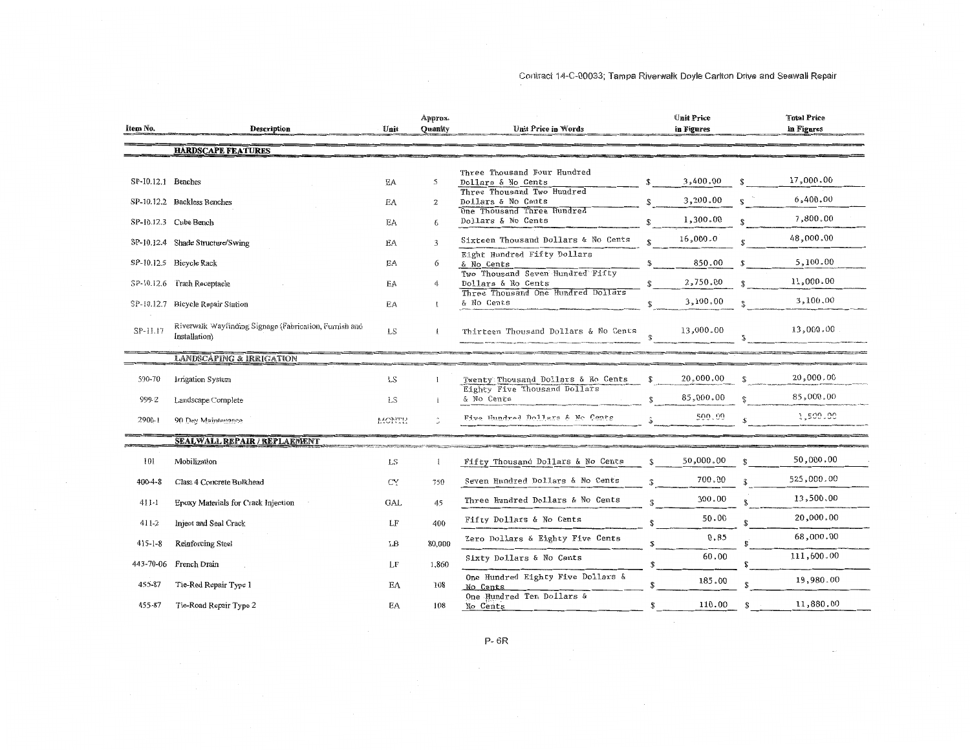| Item No.             | <b>Description</b>                                                      | Unit       | Approx.<br><b>Ouanity</b> | Unit Price in Words                                                             |              | Unit Price<br>in Figures |                    | <b>Total Price</b><br>in Figures |
|----------------------|-------------------------------------------------------------------------|------------|---------------------------|---------------------------------------------------------------------------------|--------------|--------------------------|--------------------|----------------------------------|
|                      | <b>HARDSCAPE FEATURES</b>                                               |            |                           |                                                                                 |              |                          |                    |                                  |
| $SP-10.12.1$ Benches |                                                                         | EA         | 5                         | Three Thousand Four Hundred<br>Dollars & No Cents<br>Three Thousand Two Hundred | \$           | 3,400.00                 | £.                 | 17,000.00                        |
|                      | SP-10.12.2 Backless Benches                                             | EA         | $\overline{2}$            | Dollars & No Cents                                                              | \$           | 3,200.00                 | ¢                  | 6,400.00                         |
|                      | SP-10.12.3 Cube Bench                                                   | EA         | 6                         | One Thousand Three Hundred<br>Dollars & No Cents                                | ፍ            | 1,300.00                 |                    | 7,800.00                         |
|                      | SP-10.12.4 Shade Structure/Swing                                        | EA         | 3                         | Sixteen Thousand Dollars & No Cents                                             | ¢            | 16,000.0                 | ፍ                  | 48,000.00                        |
|                      | SP-10.12.5 Bicycle Rack                                                 | EA         | 6                         | Eight Hundred Fifty Dollars<br>& No Cents                                       | S            | 850.00                   |                    | 5,100.00                         |
|                      | SP-10.12.6 Trash Receptacle                                             | EA         | 4                         | Two Thousand Seven Hundred Fifty<br>Dollars & No Cents                          | \$           | 2,750.00                 | £.                 | 11,000.00                        |
| SP-10.12.7           | Bicycle Repair Station                                                  | <b>EA</b>  |                           | Three Thousand One Hundred Dollars<br>& No Cents                                | $\mathbf{S}$ | 3,100.00                 | ¢                  | 3,100.00                         |
| $SP-11.17$           | Riverwalk Wayfinding Signage (Fabrication, Furnish and<br>Installation) | LS         | $\mathbf{I}$              | Thirteen Thousand Dollars & No Cents                                            |              | 13,000.00                |                    | 13,000.00                        |
|                      | <b>LANDSCAPING &amp; IRRIGATION</b>                                     |            |                           |                                                                                 |              |                          |                    |                                  |
| 590-70               | Irrigation System                                                       | LS.        |                           | Twenty Thousand Dollars & No Cents                                              | $\mathbf{F}$ | 20,000.00                | £.                 | 20,000.00                        |
| 999-2                | Landscape Complete                                                      | <b>LS</b>  |                           | Eighty Five Thousand Dollars<br>& No Cents                                      |              | 85,000.00                |                    | 85,000.00                        |
| $2900 - 1$           | 90 Day Maintenance                                                      | MONTH      |                           | Five Hundred Dollars & No Cents                                                 |              | 500.00                   |                    | 1,500.00                         |
|                      | <b>SEALWALL REPAIR / REPLAEMENT</b>                                     |            |                           |                                                                                 |              |                          |                    |                                  |
| 101                  | Mobilization                                                            | LS.        | 1                         | Fifty Thousand Dollars & No Cents                                               | $\mathbb{S}$ | 50,000.00                |                    | 50,000.00                        |
| $400 - 4 - 8$        | Class 4 Concrete Bulkhead                                               | CY         | 750                       | Seven Hundred Dollars & No Cents                                                |              | 700.00                   |                    | 525,000.00                       |
| $411 - 1$            | Epoxy Materials for Crack Injection                                     | <b>GAL</b> | 45                        | Three Hundred Dollars & No Cents                                                |              | 300,00                   |                    | 13,500.00                        |
| 411-2                | Inject and Seal Crack                                                   | LF         | 400                       | Fifty Dollars & No Cents                                                        | \$.          | 50.00                    |                    | 20,000.00                        |
| $415 - 1 - 8$        | Reinforcing Steel                                                       | LB         | 80,000                    | Zero Dollars & Eighty Five Cents                                                | S.           | 0.85                     |                    | 68,000.00                        |
| 443-70-06            | French Drain                                                            | LF         | 1,860                     | Sixty Dollars & No Cents                                                        |              | 60,00                    |                    | 111,600.00                       |
| 455-87               | Tie-Rod Repair Type 1                                                   | EA         | 108                       | One Hundred Eighty Five Dollars &<br>No Cents                                   | ¢            | 185.00                   |                    | 19,980.00                        |
| 455-87               | Tie-Road Repair Type 2                                                  | EA         | 108                       | One Hundred Ten Dollars &<br>No Cents                                           | \$           | 110.00                   | $\mathbf{\hat{x}}$ | 11,880.00                        |

P-6R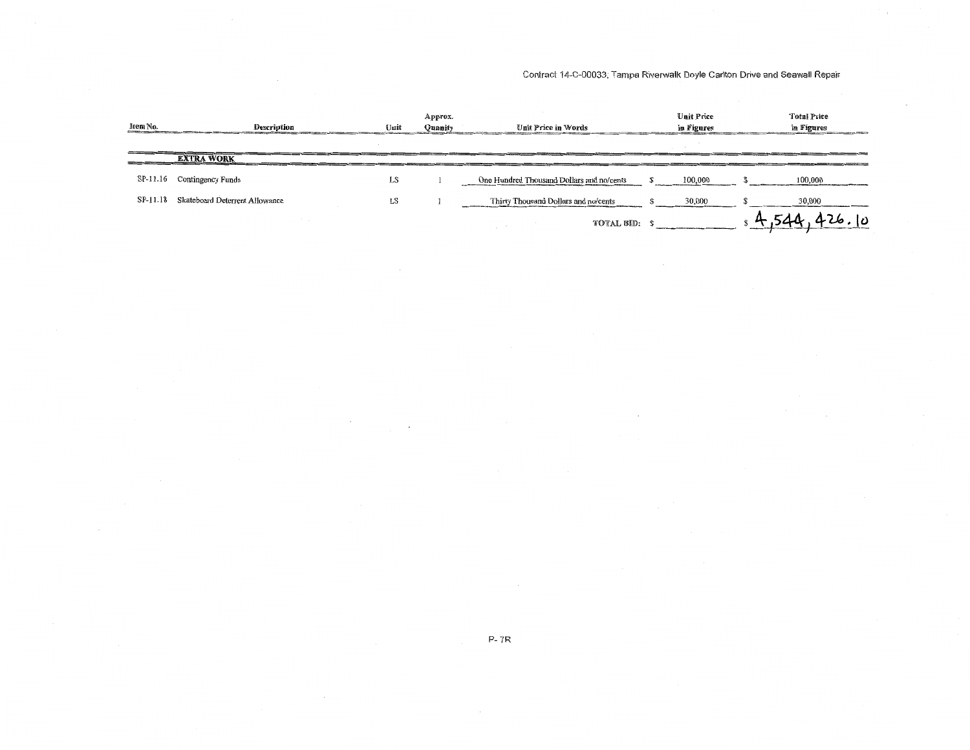| Item No. | <b>Description</b>             | Unit | Approx.<br>Quanity | Unit Price in Words                       | <b>Unit Price</b><br>in Figures | <b>Total Price</b><br>in Figures |
|----------|--------------------------------|------|--------------------|-------------------------------------------|---------------------------------|----------------------------------|
|          |                                |      |                    |                                           |                                 |                                  |
|          | <b>EXTRA WORK</b>              |      |                    |                                           |                                 |                                  |
| SP-11.16 | Contingency Funds              | LS   |                    | One Hundred Thousand Dollars and no/cents | 100,000                         | 100,000                          |
| SP-11.18 | Skateboard Deterrent Allowance | LS   |                    | Thirty Thousand Dollars and no/cents      | 30,000                          | 30,000                           |
|          |                                |      |                    | TOTAL BID: \$                             |                                 | lυ                               |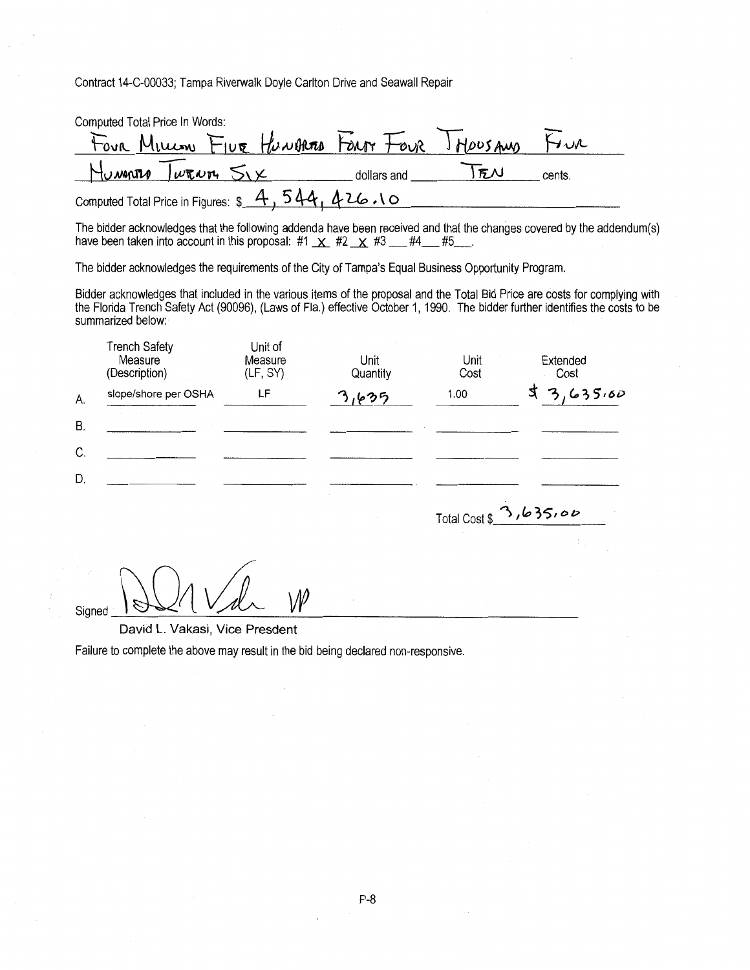| Computed Total Price In Words:                  |             |           |        |
|-------------------------------------------------|-------------|-----------|--------|
| Four Million FIVE HUNDRESS FOUR TOUR HOUSAND    |             |           | Fru    |
| HUMARIO WRNIA SIX                               | dollars and | <b>FN</b> | cents. |
| Computed Total Price in Figures: \$4,544,426.10 |             |           |        |

The bidder acknowledges that the following addenda have been received and that the changes covered by the addendum(s) have been taken into account in this proposal: #1  $\overline{X}$  #2  $\overline{X}$  #3  $\overline{1}$  #4  $\overline{1}$  #5

The bidder acknowledges the requirements of the City of Tampa's Equal Business Opportunity Program.

Bidder acknowledges that included in the various items of the proposal and the Total Bid Price are costs for complying with the Florida Trench Safety Act (90096), (Laws of Fla.) effective October 1, 1990. The bidder further identifies the costs to be summarized below:

|    | <b>Trench Safety</b><br>Measure<br>(Description) | Unit of<br>Measure<br>(LF, SY) | Unit<br>Quantity | Unit<br>Cost | Extended<br>Cost |
|----|--------------------------------------------------|--------------------------------|------------------|--------------|------------------|
| А. | slope/shore per OSHA                             | LF                             | へいつら             | 1.00         | 3,635,00         |
| В. |                                                  |                                |                  |              |                  |
| C. |                                                  |                                |                  |              |                  |
| D. |                                                  |                                |                  |              |                  |

Total Cost \$ 3,635,00

 $S_{\text{signed}}$   $\bigcup \bigcup \bigwedge \bigvee \bigwedge$ 

David L. Vakasi, Vice Presdent

Failure to complete the above may result in the bid being declared non-responsive.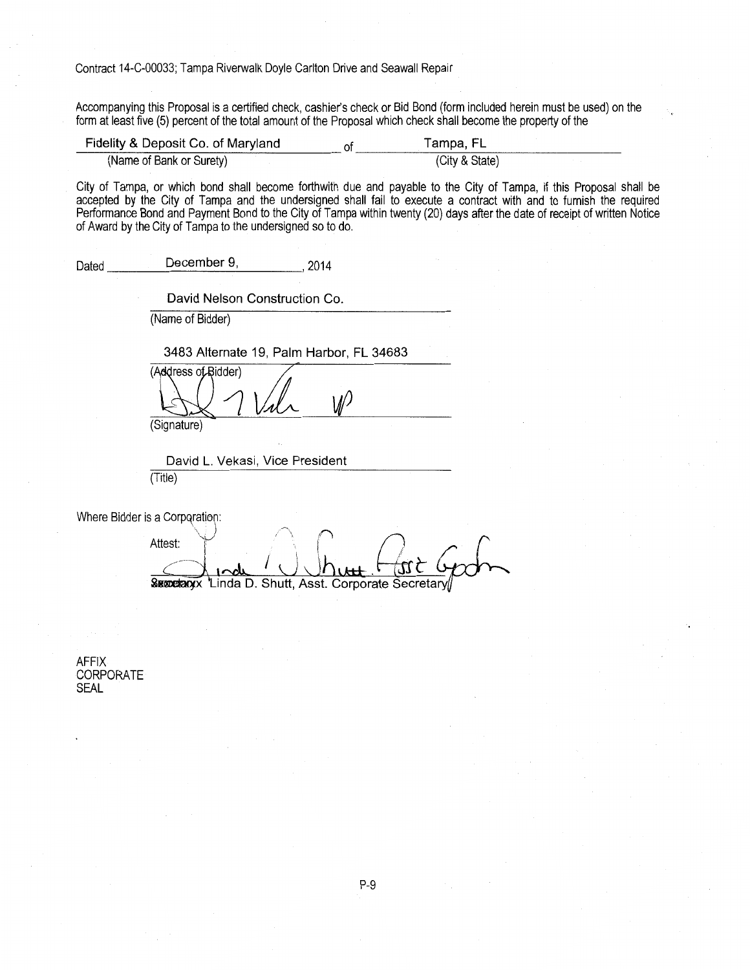Accompanying this Proposal is a certified check, cashier's check or Bid Bond (form included herein must be used) on the form at least five (5) percent of the total amount of the Proposal which check shall become the property of the

| Fidelity & Deposit Co. of Maryland | lampa, FL      |
|------------------------------------|----------------|
| (Name of Bank or Surety)           | (City & State) |

City of Tampa, or which bond shall become forthwith due and payable to the City of Tampa, if this Proposal shall be accepted by the City of Tampa and the undersigned shall fail to execute a contract with and to furnish the required Performance Bond and Payment Bond to the City of Tampa within twenty (20) days after the date of receipt of written Notice of Award by the City of Tampa to the undersigned so to do.

Dated December 9, 2014

David Nelson Construction Co.

(Name of Bidder)

3483 Alternate 19, Palm Harbor, FL 34683

(Address of Bidder)

(Signature)

David L. Vekasi, Vice President (Title)

Where Bidder is a Corporation:

Attest: Attest *T* and *T* and *I* is the *T* in *(<sup>1</sup>* and *T n (<sup>1</sup>*) *(<sup>1</sup>*) *n (1*) *f*  $\theta$  *f*  $\theta$  *f*  $\theta$  *f*  $\theta$  *f*  $\theta$  *f*  $\theta$  *f*  $\theta$  *f*  $\theta$  *f*  $\theta$  *f*  $\theta$  *f*  $\theta$  *f*  $\theta$  *f*  $\theta$  *f*  $\theta$   $\int_0^1$  I  $\int_0^1$   $\int_0^1$   $\int_0^1$   $\int_0^1$   $\int_0^1$ Succeaux 'Linda D. Shutt, Asst. Corporate Secretary

AFFIX CORPORATE SEAL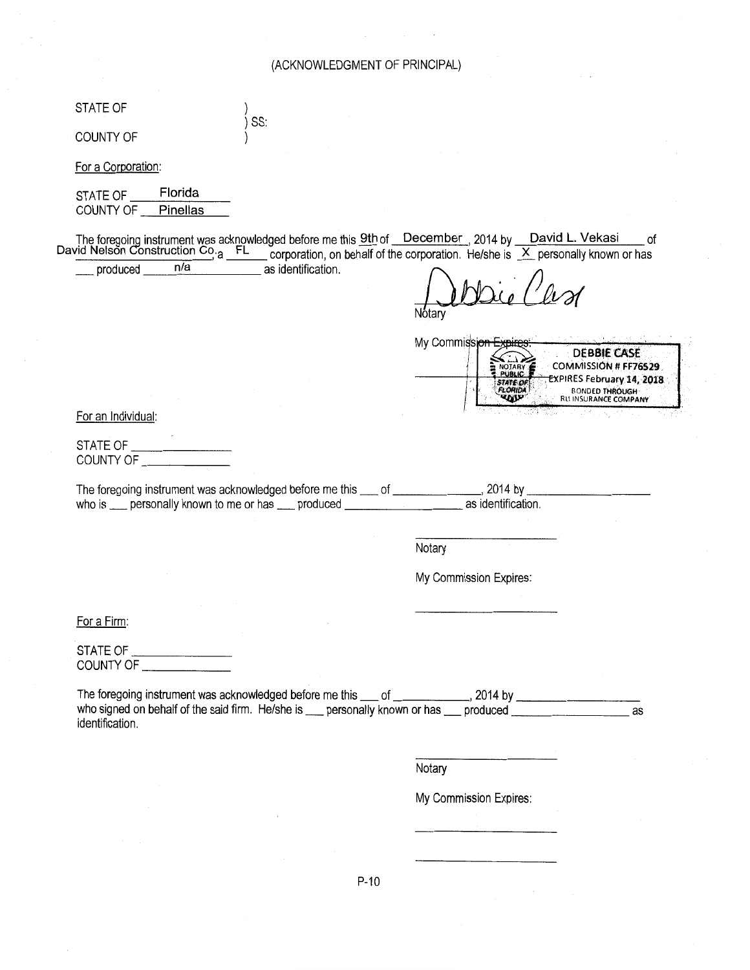# (ACKNOWLEDGMENT OF PRINCIPAL)

 $\Delta \phi = 0.0000$  and  $\Delta \phi$ 

| STATE OF                                                                                           | SS:                |                                                                                                                                                                                                                                              |                                                                                                                                  |
|----------------------------------------------------------------------------------------------------|--------------------|----------------------------------------------------------------------------------------------------------------------------------------------------------------------------------------------------------------------------------------------|----------------------------------------------------------------------------------------------------------------------------------|
| <b>COUNTY OF</b>                                                                                   |                    |                                                                                                                                                                                                                                              |                                                                                                                                  |
| For a Corporation:                                                                                 |                    |                                                                                                                                                                                                                                              |                                                                                                                                  |
| Florida<br>STATE OF<br>COUNTY OF<br>Pinellas                                                       |                    |                                                                                                                                                                                                                                              |                                                                                                                                  |
| n/a<br>produced _____                                                                              | as identification. | The foregoing instrument was acknowledged before me this $9th$ of December 2014 by David L. Vekasi of David Nelson Construction Co <sub>ra</sub> FL corporation, on behalf of the corporation. He/she is X personally known or has<br>Notarv | οf                                                                                                                               |
|                                                                                                    |                    | My Commissio<br>NOTARY 6                                                                                                                                                                                                                     | <b>DEBBIE CASE</b><br>COMMISSION # FF76529<br>EXPIRES February 14, 2018<br><b>BONDED THROUGH</b><br><b>RUI INSURANCE COMPANY</b> |
| For an Individual:                                                                                 |                    |                                                                                                                                                                                                                                              |                                                                                                                                  |
| COUNTY OF                                                                                          |                    |                                                                                                                                                                                                                                              |                                                                                                                                  |
|                                                                                                    |                    |                                                                                                                                                                                                                                              |                                                                                                                                  |
| who is enterprise personally known to me or has enterprised produced enterprise as identification. |                    | The foregoing instrument was acknowledged before me this ____ of ________________, 2014 by _______                                                                                                                                           |                                                                                                                                  |
|                                                                                                    |                    | Notary                                                                                                                                                                                                                                       |                                                                                                                                  |
|                                                                                                    |                    | My Commission Expires:                                                                                                                                                                                                                       |                                                                                                                                  |
| For a Firm:                                                                                        |                    |                                                                                                                                                                                                                                              |                                                                                                                                  |
| STATE OF _____________________<br>COUNTY OF ______________                                         |                    |                                                                                                                                                                                                                                              |                                                                                                                                  |
| identification.                                                                                    |                    | The foregoing instrument was acknowledged before me this ___ of ____________, 2014 by _______________________<br>who signed on behalf of the said firm. He/she is ___ personally known or has ___ produced ______________                    | as                                                                                                                               |
|                                                                                                    |                    | Notary                                                                                                                                                                                                                                       |                                                                                                                                  |
|                                                                                                    |                    | My Commission Expires:                                                                                                                                                                                                                       |                                                                                                                                  |
|                                                                                                    |                    |                                                                                                                                                                                                                                              |                                                                                                                                  |
|                                                                                                    |                    |                                                                                                                                                                                                                                              |                                                                                                                                  |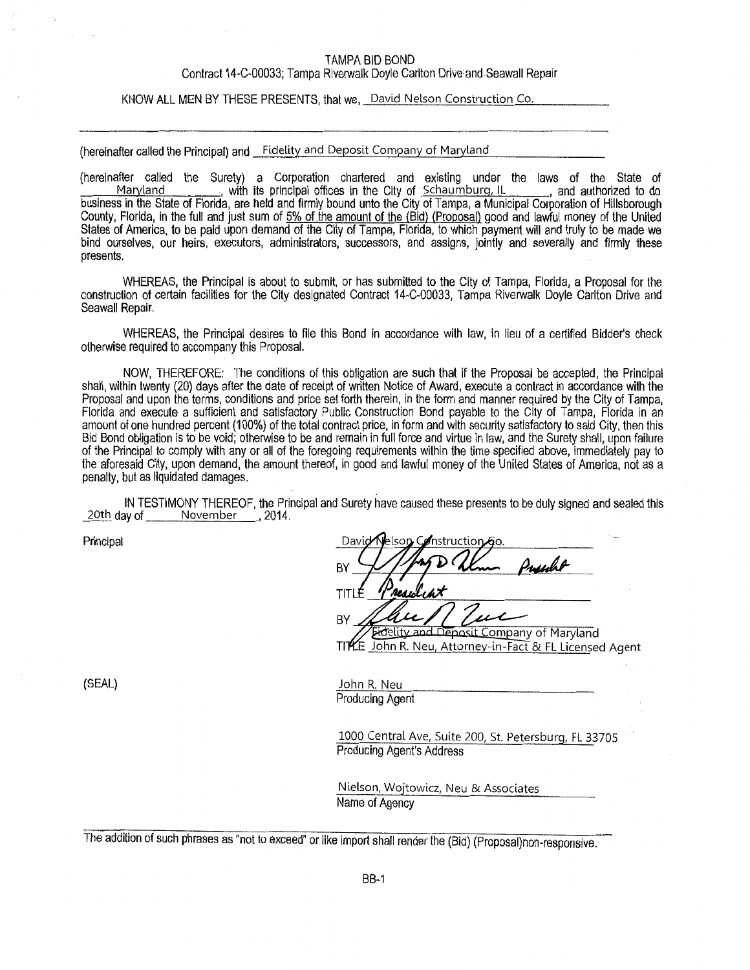#### TAMPA BID BOND

#### Contract 14-C-00033; Tampa Rlverwalk Doyle Carlton Drive and Seawall Repair

KNOW ALL MEN BY THESE PRESENTS, that we, David Nelson Construction Co.

(hereinafter called the Principal) and Fidelity and Deposit Company of Maryland

(hereinafter called the Surety) a Corporation chartered and existing under the laws of the State of<br>Maryland \_\_\_\_\_\_\_\_, with its principal offices in the City of Schaumburg, IL \_\_\_\_\_\_, and authorized to do with its principal offices in the City of Schaumburg, IL business in the State of Florida, are held and firmly bound unto the City of Tampa, a Municipal Corporation of Hillsborough County, Florida, in the full and just sum of 5% of the amount of the (Bid) (Proposal) good and lawful money of the United States of America, to be paid upon demand of the City of Tampa, Florida, to which payment will and truly to be made we bind ourselves, our heirs, executors, administrators, successors, and assigns, jointly and severally and firmly these presents.

WHEREAS, the Principal is about to submit, or has submitted to the City of Tampa, Florida, a Proposal for the construction of certain facilities for the City designated Contract 14-C-00033, Tampa Riverwalk Doyle Carlton Drive and Seawall Repair.

WHEREAS, the Principal desires to file this Bond in accordance with law, in lleu of a certified Bidder's check otherwise required to accompany this Proposal.

NOW, THEREFORE: The conditions of this obligation are such that if the Proposal be accepted, the Principal shall, within twenty (20) days after the date of receipt of written Notice of Award, execute a contract in accordance with the Proposal and upon the terms, conditions and price set forth therein, in the form and manner required by the City of Tampa, Florida and execute a sufficient and satisfactory Public Construction Bond payable to the City of Tampa, Florida in an amount of one hundred percent (1 00%) of the total contract price, in form and with security satisfactory to said City, then this Bid Bond obligation is to be void; otherwise to be and remain in full force and virtue in law, and the Surety shall, upon failure of the Principal to comply with any or all of the foregoing requirements within the time specified above, immediately pay to the aforesaid City, upon demand, the amount thereof, in good and lawful money of the United States of America, not as a penalty, but as liquidated damages.

IN TESTIMONY THEREOF, the Principal and Surety have caused these presents to be duly signed and sealed this 20th day of November , 2014.

Principal

David nstruction**'** BY TIT BY eposit Company of Maryland

(SEAL)

John R. Neu Producing Agent

1000 Central Ave, Suite 200, St. Petersburg, FL 33705 Producing Agent's Address

John R. Neu, Attorney-in-Fact & FL Licensed Agent

Nielson, Wojtowicz, Neu & Associates Name of Agency

The addition of such phrases as "not to exceed" or like import shall render the (Bid) (Proposal)non-responsive.

Tl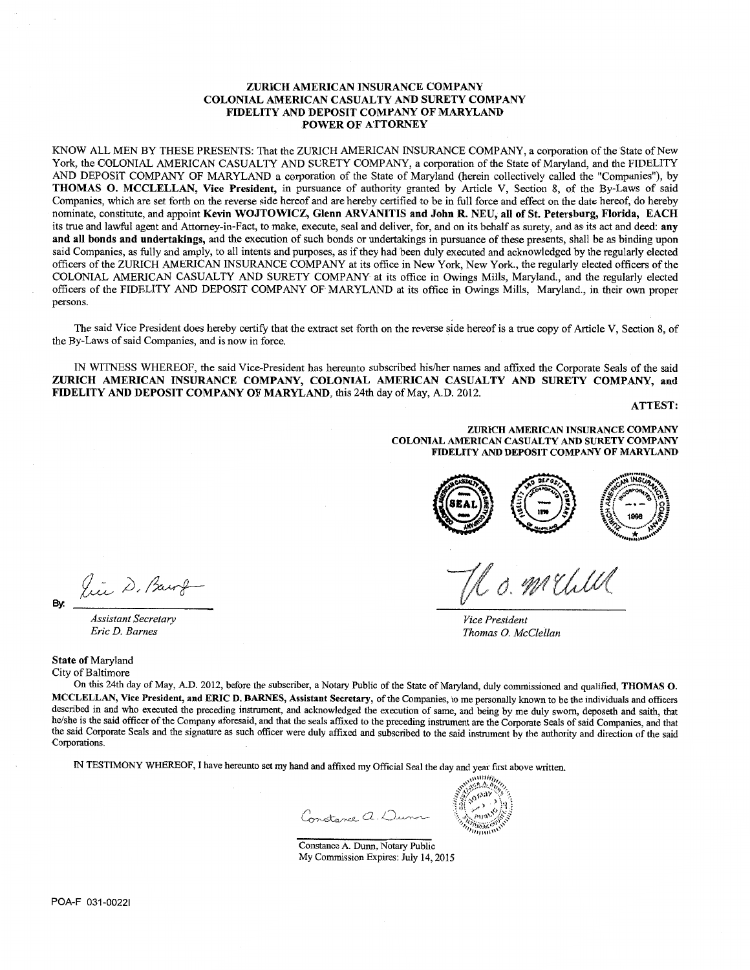#### ZURICH AMERICAN INSURANCE COMPANY COLONIAL AMERICAN CASUALTY AND SURETY COMPANY FIDELITY AND DEPOSIT COMPANY OF MARYLAND POWER OF ATTORNEY

KNOW ALL MEN BY THESE PRESENTS: That the ZURICH AMERICAN INSURANCE COMPANY, a corporation of the State of New York, the COLONIAL AMERICAN CASUALTY AND SURETY COMPANY, a corporation of the State of Maryland, and the FIDELITY AND DEPOSIT COMPANY OF MARYLAND a corporation of the State of Maryland (herein collectively called the "Companies"), by THOMAS 0. MCCLELLAN, Vice President, in pursuance of authority granted by Article V, Section 8, of the By-Laws of said Companies, which are set forth on the reverse side hereof and are hereby certified to be in full force and effect on the date hereof, do hereby nominate, constitute, and appoint Kevin WOJTOWICZ, Glenn ARVANITIS and John R. NEU, all of St. Petersburg, Florida, EACH its true and lawful agent and Attorney-in-Fact, to make, execute, seal and deliver, for, and on its behalf as surety, and as its act and deed: any and all bonds and undertakings, and the execution of such bonds or undertakings in pursuance of these presents, shall be as binding upon said Companies, as fully and amply, to all intents and purposes, as if they had been duly executed and acknowledged by the regularly elected officers of the ZURICH AMERICAN INSURANCE COMPANY at its office in New York, New York., the regularly elected officers of the COLONIAL AMERICAN CASUALTY AND SURETY COMPANY at its office in Owings Mills, Maryland., and the regularly elected officers of the FIDELITY AND DEPOSIT COMPANY OF MARYLAND at its office in Owings Mills, Maryland., in their own proper persons.

The said Vice President does hereby certify that the extract set forth on the reverse side hereof is a true copy of Article V, Section 8, of the By-Laws of said Companies, and is now in force.

IN WITNESS WHEREOF, the said Vice-President has hereunto subscribed his/her names and affixed the Corporate Seals of the said ZURICH AMERICAN INSURANCE COMPANY, COLONIAL AMERICAN CASUALTY AND SURETY COMPANY, and FIDELITY AND DEPOSIT COMPANY OF MARYLAND, this 24th day of May, A.D. 2012.

ATTEST:

ZURICH AMERICAN INSURANCE COMPANY COLONIAL AMERICAN CASUALTY AND SURETY COMPANY FIDELITY AND DEPOSIT COMPANY OF MARYLAND



*Vice President Thomas 0. McClellan* 

State of Maryland

City of Baltimore

On this 24th day of May, A.D. 2012, before the subscriber, a Notary Public of the State of Maryland, duly commissioned and qualified, THOMAS 0. MCCLELLAN, Vice President, and ERIC D. BARNES, Assistant Secretary, of the Companies, to me personally known to be the individuals and officers described in and who executed the preceding instrument, and acknowledged the execution of same, and being by me duly sworn, deposeth and saith, that he/she is the said officer of the Company aforesaid, and that the seals affixed to the preceding instrument are the Corporate Seals of said Companies, and that the said Corporate Seals and the signature as such officer were duly affixed and subscribed to the said instrument by the authority and direction of the said Corporations.

IN TESTIMONY WHEREOF, I have hereunto set my hand and affixed my Official Seal the day and year first above written.

Constance a. Dunn

wwwin йA. Afril<sup>3</sup>

Constance A. Dunn, Notary Public My Commission Expires: July 14,2015

lice D. Barry By:

*Assistant Secretary Eric D. Barnes*